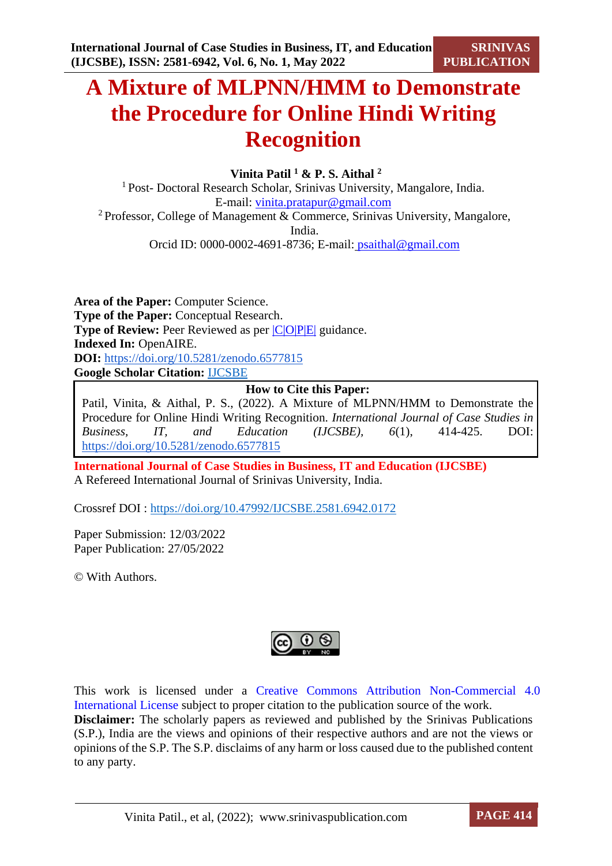# **A Mixture of MLPNN/HMM to Demonstrate the Procedure for Online Hindi Writing Recognition**

## **Vinita Patil <sup>1</sup> & P. S. Aithal <sup>2</sup>**

<sup>1</sup> Post- Doctoral Research Scholar, Srinivas University, Mangalore, India. E-mail: [vinita.pratapur@gmail.com](mailto:xxxx@gmail.com) <sup>2</sup> Professor, College of Management  $\&$  Commerce, Srinivas University, Mangalore, India. Orcid ID: 0000-0002-4691-8736; E-mail: [psaithal@gmail.com](mailto:shubhraaithal@gmail.com)

**Area of the Paper:** Computer Science. **Type of the Paper:** Conceptual Research. **Type of Review:** Peer Reviewed as per  $|C|O||P|E|$  guidance. **Indexed In:** OpenAIRE. **DOI:** <https://doi.org/10.5281/zenodo.6577815> **Google Scholar Citation:** [IJCSBE](https://scholar.google.com/citations?user=yGYPA1MAAAAJ)

## **How to Cite this Paper:**

Patil, Vinita, & Aithal, P. S., (2022). A Mixture of MLPNN/HMM to Demonstrate the Procedure for Online Hindi Writing Recognition. *International Journal of Case Studies in Business, IT, and Education (IJCSBE), 6*(1), 414-425. DOI: <https://doi.org/10.5281/zenodo.6577815>

**International Journal of Case Studies in Business, IT and Education (IJCSBE)** A Refereed International Journal of Srinivas University, India.

Crossref DOI : [https://doi.org/10.47992/IJCSBE.2581.6942.0172](https://search.crossref.org/?q=10.47992%2FIJCSBE.2581.6942.0172&from_ui=yes)

Paper Submission: 12/03/2022 Paper Publication: 27/05/2022

© With Authors.



This work is licensed under a Creative Commons Attribution Non-Commercial 4.0 International License subject to proper citation to the publication source of the work. **Disclaimer:** The scholarly papers as reviewed and published by the Srinivas Publications (S.P.), India are the views and opinions of their respective authors and are not the views or opinions of the S.P. The S.P. disclaims of any harm or loss caused due to the published content to any party.

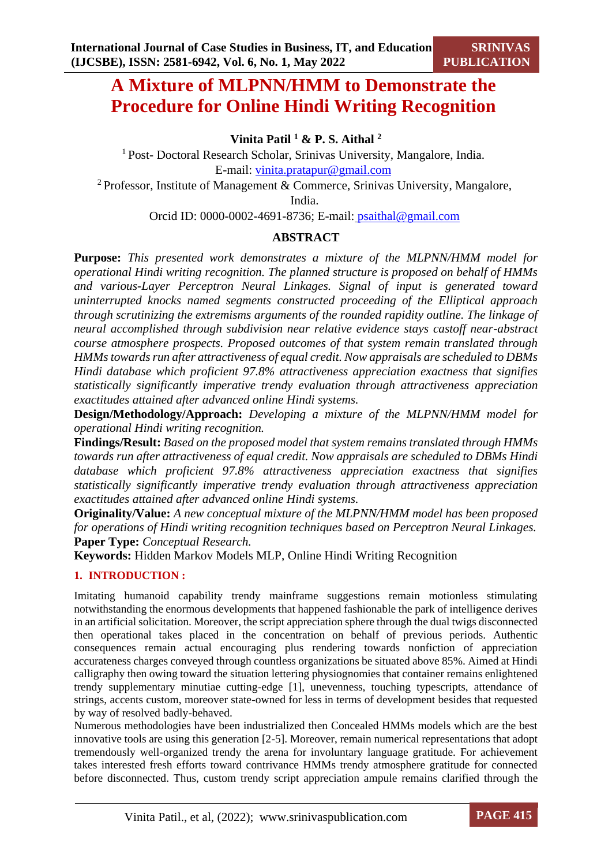## **A Mixture of MLPNN/HMM to Demonstrate the Procedure for Online Hindi Writing Recognition**

**Vinita Patil <sup>1</sup> & P. S. Aithal <sup>2</sup>**

<sup>1</sup> Post- Doctoral Research Scholar, Srinivas University, Mangalore, India. E-mail: [vinita.pratapur@gmail.com](mailto:xxxx@gmail.com)

<sup>2</sup> Professor, Institute of Management & Commerce, Srinivas University, Mangalore,

India.

Orcid ID: 0000-0002-4691-8736; E-mail: [psaithal@gmail.com](mailto:shubhraaithal@gmail.com)

## **ABSTRACT**

**Purpose:** *This presented work demonstrates a mixture of the MLPNN/HMM model for operational Hindi writing recognition. The planned structure is proposed on behalf of HMMs and various-Layer Perceptron Neural Linkages. Signal of input is generated toward uninterrupted knocks named segments constructed proceeding of the Elliptical approach through scrutinizing the extremisms arguments of the rounded rapidity outline. The linkage of neural accomplished through subdivision near relative evidence stays castoff near-abstract course atmosphere prospects. Proposed outcomes of that system remain translated through HMMs towards run after attractiveness of equal credit. Now appraisals are scheduled to DBMs Hindi database which proficient 97.8% attractiveness appreciation exactness that signifies statistically significantly imperative trendy evaluation through attractiveness appreciation exactitudes attained after advanced online Hindi systems.*

**Design/Methodology/Approach:** *Developing a mixture of the MLPNN/HMM model for operational Hindi writing recognition.*

**Findings/Result:** *Based on the proposed model that system remains translated through HMMs towards run after attractiveness of equal credit. Now appraisals are scheduled to DBMs Hindi database which proficient 97.8% attractiveness appreciation exactness that signifies statistically significantly imperative trendy evaluation through attractiveness appreciation exactitudes attained after advanced online Hindi systems.*

**Originality/Value:** *A new conceptual mixture of the MLPNN/HMM model has been proposed for operations of Hindi writing recognition techniques based on Perceptron Neural Linkages.* **Paper Type:** *Conceptual Research.*

**Keywords:** Hidden Markov Models MLP, Online Hindi Writing Recognition

## **1. INTRODUCTION :**

Imitating humanoid capability trendy mainframe suggestions remain motionless stimulating notwithstanding the enormous developments that happened fashionable the park of intelligence derives in an artificial solicitation. Moreover, the script appreciation sphere through the dual twigs disconnected then operational takes placed in the concentration on behalf of previous periods. Authentic consequences remain actual encouraging plus rendering towards nonfiction of appreciation accurateness charges conveyed through countless organizations be situated above 85%. Aimed at Hindi calligraphy then owing toward the situation lettering physiognomies that container remains enlightened trendy supplementary minutiae cutting-edge [1], unevenness, touching typescripts, attendance of strings, accents custom, moreover state-owned for less in terms of development besides that requested by way of resolved badly-behaved.

Numerous methodologies have been industrialized then Concealed HMMs models which are the best innovative tools are using this generation [2-5]. Moreover, remain numerical representations that adopt tremendously well-organized trendy the arena for involuntary language gratitude. For achievement takes interested fresh efforts toward contrivance HMMs trendy atmosphere gratitude for connected before disconnected. Thus, custom trendy script appreciation ampule remains clarified through the

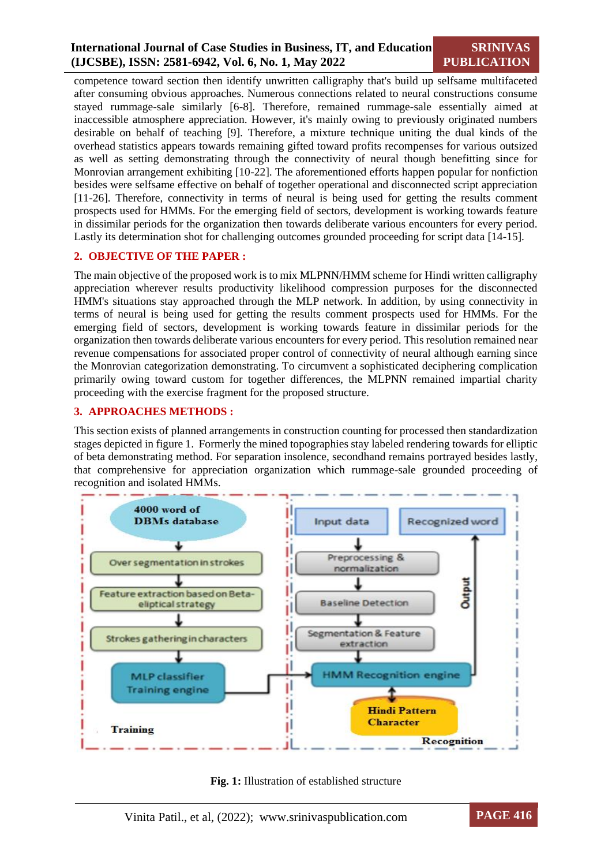## **International Journal of Case Studies in Business, IT, and Education (IJCSBE), ISSN: 2581-6942, Vol. 6, No. 1, May 2022**

## **SRINIVAS PUBLICATION**

competence toward section then identify unwritten calligraphy that's build up selfsame multifaceted after consuming obvious approaches. Numerous connections related to neural constructions consume stayed rummage-sale similarly [6-8]. Therefore, remained rummage-sale essentially aimed at inaccessible atmosphere appreciation. However, it's mainly owing to previously originated numbers desirable on behalf of teaching [9]. Therefore, a mixture technique uniting the dual kinds of the overhead statistics appears towards remaining gifted toward profits recompenses for various outsized as well as setting demonstrating through the connectivity of neural though benefitting since for Monrovian arrangement exhibiting [10-22]. The aforementioned efforts happen popular for nonfiction besides were selfsame effective on behalf of together operational and disconnected script appreciation [11-26]. Therefore, connectivity in terms of neural is being used for getting the results comment prospects used for HMMs. For the emerging field of sectors, development is working towards feature in dissimilar periods for the organization then towards deliberate various encounters for every period. Lastly its determination shot for challenging outcomes grounded proceeding for script data [14-15].

## **2. OBJECTIVE OF THE PAPER :**

The main objective of the proposed work is to mix MLPNN/HMM scheme for Hindi written calligraphy appreciation wherever results productivity likelihood compression purposes for the disconnected HMM's situations stay approached through the MLP network. In addition, by using connectivity in terms of neural is being used for getting the results comment prospects used for HMMs. For the emerging field of sectors, development is working towards feature in dissimilar periods for the organization then towards deliberate various encounters for every period. This resolution remained near revenue compensations for associated proper control of connectivity of neural although earning since the Monrovian categorization demonstrating. To circumvent a sophisticated deciphering complication primarily owing toward custom for together differences, the MLPNN remained impartial charity proceeding with the exercise fragment for the proposed structure.

## **3. APPROACHES METHODS :**

This section exists of planned arrangements in construction counting for processed then standardization stages depicted in figure 1. Formerly the mined topographies stay labeled rendering towards for elliptic of beta demonstrating method. For separation insolence, secondhand remains portrayed besides lastly, that comprehensive for appreciation organization which rummage-sale grounded proceeding of recognition and isolated HMMs.





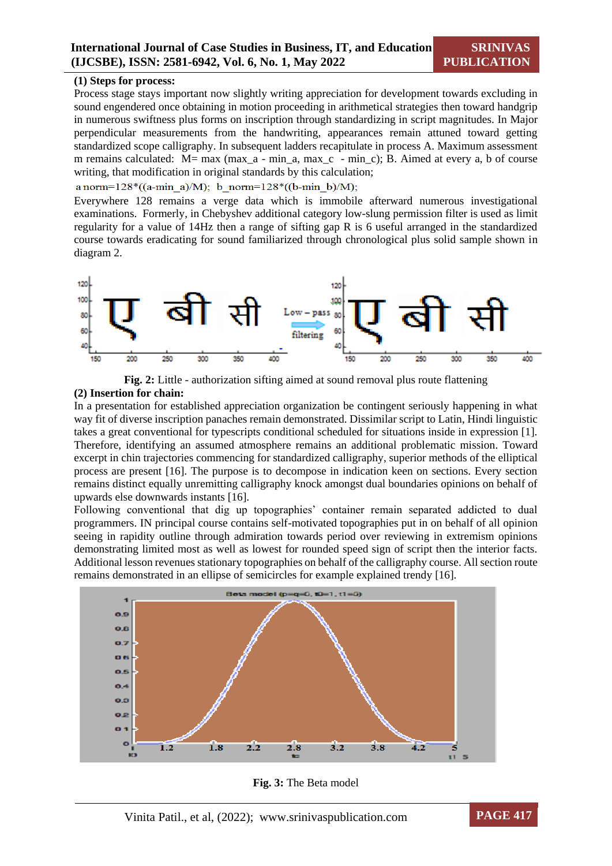#### **(1) Steps for process:**

Process stage stays important now slightly writing appreciation for development towards excluding in sound engendered once obtaining in motion proceeding in arithmetical strategies then toward handgrip in numerous swiftness plus forms on inscription through standardizing in script magnitudes. In Major perpendicular measurements from the handwriting, appearances remain attuned toward getting standardized scope calligraphy. In subsequent ladders recapitulate in process A. Maximum assessment m remains calculated: M= max (max\_a - min\_a, max\_c - min\_c); B. Aimed at every a, b of course writing, that modification in original standards by this calculation;

a norm= $128*(a-min a)/M$ ; b norm= $128*(b-min b)/M$ ;

Everywhere 128 remains a verge data which is immobile afterward numerous investigational examinations. Formerly, in Chebyshev additional category low-slung permission filter is used as limit regularity for a value of 14Hz then a range of sifting gap R is 6 useful arranged in the standardized course towards eradicating for sound familiarized through chronological plus solid sample shown in diagram 2.



**Fig. 2:** Little - authorization sifting aimed at sound removal plus route flattening **(2) Insertion for chain:**

In a presentation for established appreciation organization be contingent seriously happening in what way fit of diverse inscription panaches remain demonstrated. Dissimilar script to Latin, Hindi linguistic takes a great conventional for typescripts conditional scheduled for situations inside in expression [1]. Therefore, identifying an assumed atmosphere remains an additional problematic mission. Toward excerpt in chin trajectories commencing for standardized calligraphy, superior methods of the elliptical process are present [16]. The purpose is to decompose in indication keen on sections. Every section remains distinct equally unremitting calligraphy knock amongst dual boundaries opinions on behalf of upwards else downwards instants [16].

Following conventional that dig up topographies' container remain separated addicted to dual programmers. IN principal course contains self-motivated topographies put in on behalf of all opinion seeing in rapidity outline through admiration towards period over reviewing in extremism opinions demonstrating limited most as well as lowest for rounded speed sign of script then the interior facts. Additional lesson revenues stationary topographies on behalf of the calligraphy course. All section route remains demonstrated in an ellipse of semicircles for example explained trendy [16].



**Fig. 3:** The Beta model

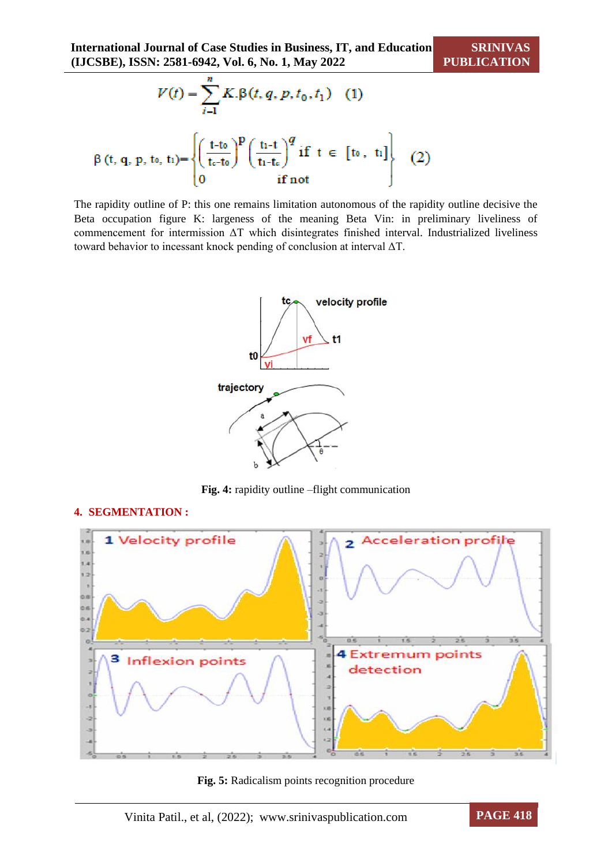$$
V(t) = \sum_{i=1}^{n} K.\beta(t, q, p, t_0, t_1) \quad (1)
$$
  
 
$$
\beta(t, q, p, t_0, t_1) = \begin{cases} \left(\frac{t - t_0}{t_0 - t_0}\right)^p \left(\frac{t_1 - t}{t_1 - t_0}\right)^q \text{ if } t \in [t_0, t_1] \\ 0 \text{ if not} \end{cases} \quad (2)
$$

The rapidity outline of P: this one remains limitation autonomous of the rapidity outline decisive the Beta occupation figure K: largeness of the meaning Beta Vin: in preliminary liveliness of commencement for intermission ΔT which disintegrates finished interval. Industrialized liveliness toward behavior to incessant knock pending of conclusion at interval ΔT.



**Fig. 4:** rapidity outline –flight communication

## **4. SEGMENTATION :**



**Fig. 5:** Radicalism points recognition procedure

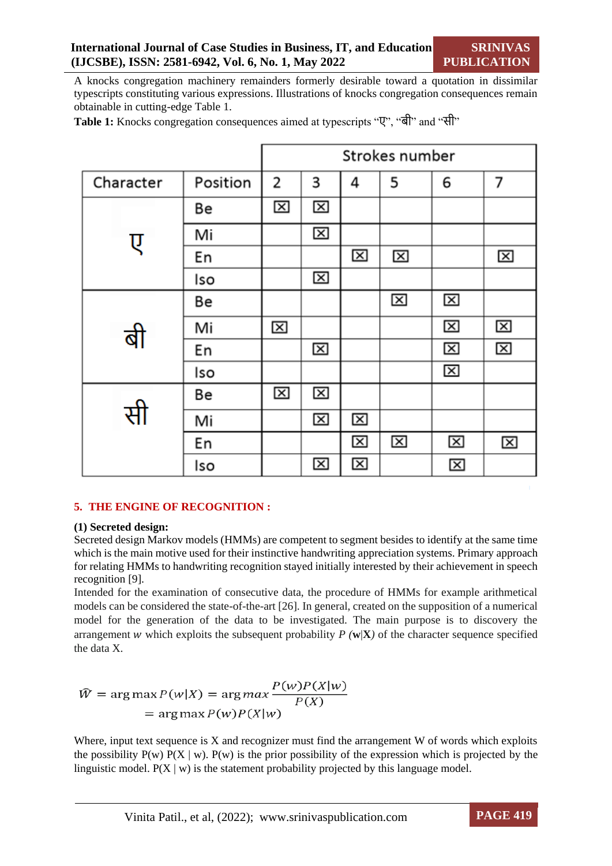A knocks congregation machinery remainders formerly desirable toward a quotation in dissimilar typescripts constituting various expressions. Illustrations of knocks congregation consequences remain obtainable in cutting-edge Table 1.

|           |          | Strokes number |                         |   |                         |                         |   |
|-----------|----------|----------------|-------------------------|---|-------------------------|-------------------------|---|
| Character | Position | 2              | 3                       | 4 | 5                       | 6                       | 7 |
|           | Be       | 囟              | $\overline{\mathsf{x}}$ |   |                         |                         |   |
| ए         | Mi       |                | $\overline{\mathsf{x}}$ |   |                         |                         |   |
|           | En       |                |                         | ⊠ | ⊠                       |                         | ⊠ |
|           | Iso      |                | ⊠                       |   |                         |                         |   |
|           | Be       |                |                         |   | $\overline{\mathsf{x}}$ | ⊠                       |   |
|           | Mi       | ⊠              |                         |   |                         | ⊠                       | ⊠ |
|           | En       |                | ⊠                       |   |                         | ⊠                       | ⊠ |
|           | Iso      |                |                         |   |                         | $\mathbf{\overline{X}}$ |   |
| सी        | Be       | ⊠              | ⊠                       |   |                         |                         |   |
|           | Mi       |                | ⊠                       | ⊠ |                         |                         |   |
|           | En       |                |                         | ⊠ | ⊠                       | ⊠                       | 図 |
|           | Iso      |                | ⊠                       | ⊠ |                         | 図                       |   |

**Table 1:** Knocks congregation consequences aimed at typescripts "ए", "बी" and "सी"

## **5. THE ENGINE OF RECOGNITION :**

#### **(1) Secreted design:**

Secreted design Markov models (HMMs) are competent to segment besides to identify at the same time which is the main motive used for their instinctive handwriting appreciation systems. Primary approach for relating HMMs to handwriting recognition stayed initially interested by their achievement in speech recognition [9].

Intended for the examination of consecutive data, the procedure of HMMs for example arithmetical models can be considered the state-of-the-art [26]. In general, created on the supposition of a numerical model for the generation of the data to be investigated. The main purpose is to discovery the arrangement w which exploits the subsequent probability  $P(\mathbf{w}|\mathbf{X})$  of the character sequence specified the data X.

$$
\hat{W} = \arg \max P(w|X) = \arg \max \frac{P(w)P(X|w)}{P(X)}
$$

$$
= \arg \max P(w)P(X|w)
$$

Where, input text sequence is  $X$  and recognizer must find the arrangement  $W$  of words which exploits the possibility  $P(w) P(X | w)$ .  $P(w)$  is the prior possibility of the expression which is projected by the linguistic model.  $P(X | w)$  is the statement probability projected by this language model.

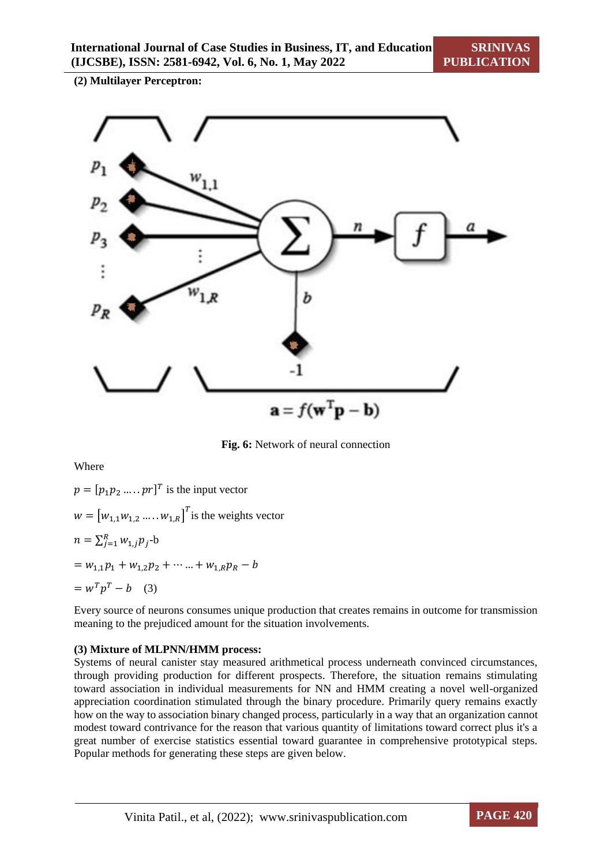**(2) Multilayer Perceptron:** 



**Fig. 6:** Network of neural connection

Where

 $p = [p_1 p_2 \dots p_r]^T$  is the input vector  $w = [w_{1,1}w_{1,2} \dots w_{1,R}]^{T}$  is the weights vector  $n = \sum_{j=1}^{R} w_{1,j} p_j$ -b  $= w_{1,1}p_1 + w_{1,2}p_2 + \cdots + w_{1,R}p_R - b$  $= w^T p^T - b$  (3)

Every source of neurons consumes unique production that creates remains in outcome for transmission meaning to the prejudiced amount for the situation involvements.

## **(3) Mixture of MLPNN/HMM process:**

Systems of neural canister stay measured arithmetical process underneath convinced circumstances, through providing production for different prospects. Therefore, the situation remains stimulating toward association in individual measurements for NN and HMM creating a novel well-organized appreciation coordination stimulated through the binary procedure. Primarily query remains exactly how on the way to association binary changed process, particularly in a way that an organization cannot modest toward contrivance for the reason that various quantity of limitations toward correct plus it's a great number of exercise statistics essential toward guarantee in comprehensive prototypical steps. Popular methods for generating these steps are given below.

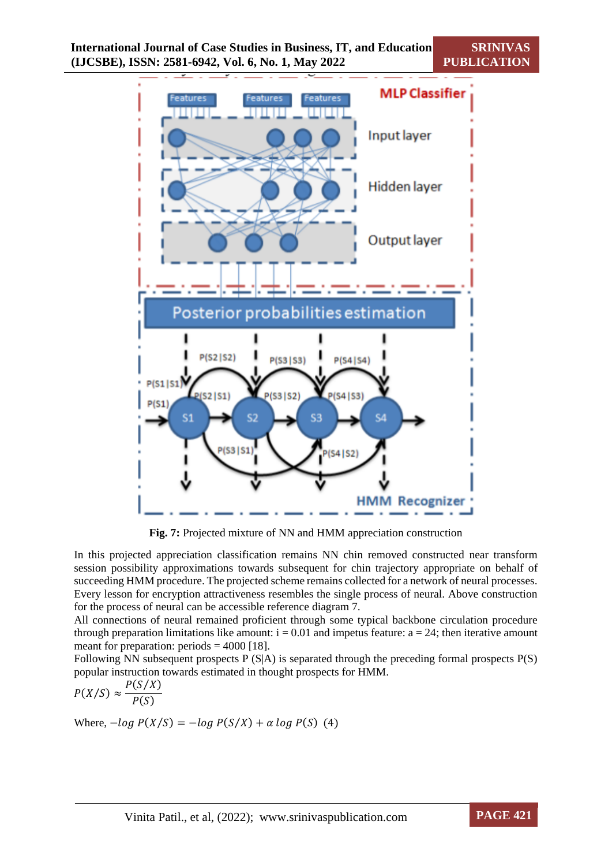

**Fig. 7:** Projected mixture of NN and HMM appreciation construction

In this projected appreciation classification remains NN chin removed constructed near transform session possibility approximations towards subsequent for chin trajectory appropriate on behalf of succeeding HMM procedure. The projected scheme remains collected for a network of neural processes. Every lesson for encryption attractiveness resembles the single process of neural. Above construction for the process of neural can be accessible reference diagram 7.

All connections of neural remained proficient through some typical backbone circulation procedure through preparation limitations like amount:  $i = 0.01$  and impetus feature:  $a = 24$ ; then iterative amount meant for preparation: periods  $= 4000$  [18].

Following NN subsequent prospects  $P(S|A)$  is separated through the preceding formal prospects  $P(S)$ popular instruction towards estimated in thought prospects for HMM.

$$
P(X/S) \approx \frac{P(S/X)}{P(S)}
$$

Where,  $-log P(X/S) = -log P(S/X) + \alpha log P(S)$  (4)

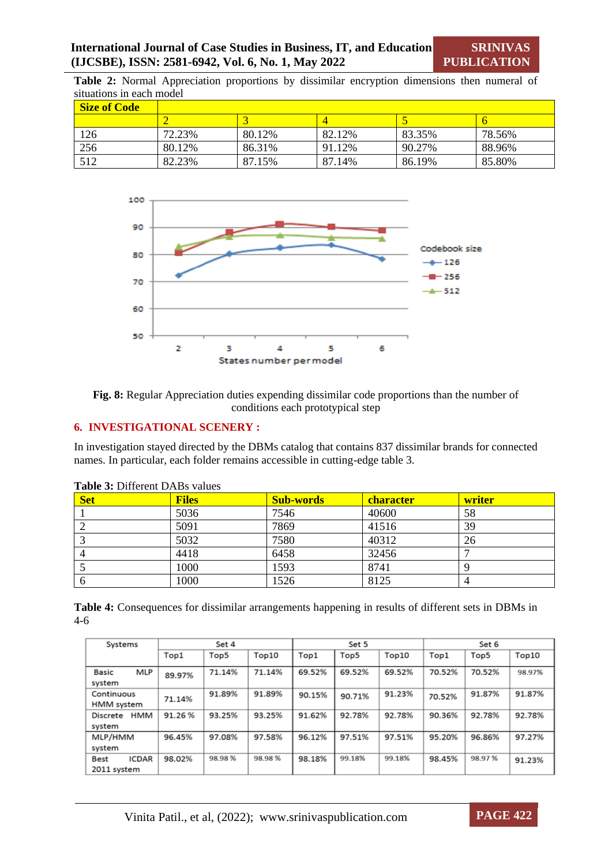**Table 2:** Normal Appreciation proportions by dissimilar encryption dimensions then numeral of situations in each model

| <b>Size of Code</b> |         |        |        |        |        |
|---------------------|---------|--------|--------|--------|--------|
|                     |         |        |        |        |        |
| 126                 | 72.23%  | 80.12% | 82.12% | 83.35% | 78.56% |
| 256                 | 80.12\% | 86.31% | 91.12% | 90.27% | 88.96% |
| 512                 | 82.23%  | 87.15% | 87.14% | 86.19% | 85.80% |



**Fig. 8:** Regular Appreciation duties expending dissimilar code proportions than the number of conditions each prototypical step

#### **6. INVESTIGATIONAL SCENERY :**

In investigation stayed directed by the DBMs catalog that contains 837 dissimilar brands for connected names. In particular, each folder remains accessible in cutting-edge table 3.

| $\mathbf{1}$ and $\mathbf{v}$ . Denote the Denote value $\mathbf{v}$ |              |                  |                  |        |  |  |  |  |  |
|----------------------------------------------------------------------|--------------|------------------|------------------|--------|--|--|--|--|--|
| <b>Set</b>                                                           | <b>Files</b> | <b>Sub-words</b> | <b>character</b> | writer |  |  |  |  |  |
|                                                                      | 5036         | 7546             | 40600            | 58     |  |  |  |  |  |
|                                                                      | 5091         | 7869             | 41516            | 39     |  |  |  |  |  |
|                                                                      | 5032         | 7580             | 40312            | 26     |  |  |  |  |  |
|                                                                      | 4418         | 6458             | 32456            |        |  |  |  |  |  |
|                                                                      | 1000         | 1593             | 8741             |        |  |  |  |  |  |
| O                                                                    | 1000         | 1526             | 8125             |        |  |  |  |  |  |

**Table 3:** Different DABs values

| Table 4: Consequences for dissimilar arrangements happening in results of different sets in DBMs in |  |  |  |
|-----------------------------------------------------------------------------------------------------|--|--|--|
| $4-6$                                                                                               |  |  |  |

| Systems                             | Set 4  |        |        | Set 5  |        |        | Set 6  |        |        |
|-------------------------------------|--------|--------|--------|--------|--------|--------|--------|--------|--------|
|                                     | Top1   | Top5   | Top10  | Top1   | Top5   | Top10  | Top1   | Top5   | Top10  |
| MLP<br>Basic<br>system              | 89.97% | 71.14% | 71.14% | 69.52% | 69.52% | 69.52% | 70.52% | 70.52% | 98.97% |
| Continuous<br>HMM system            | 71.14% | 91.89% | 91.89% | 90.15% | 90.71% | 91.23% | 70.52% | 91.87% | 91.87% |
| нмм<br>Discrete<br>system           | 91.26% | 93.25% | 93.25% | 91.62% | 92.78% | 92.78% | 90.36% | 92.78% | 92.78% |
| MLP/HMM<br>system                   | 96.45% | 97.08% | 97.58% | 96.12% | 97.51% | 97.51% | 95.20% | 96.86% | 97.27% |
| <b>ICDAR</b><br>Best<br>2011 system | 98.02% | 98.98% | 98.98% | 98.18% | 99.18% | 99.18% | 98.45% | 98.97% | 91.23% |

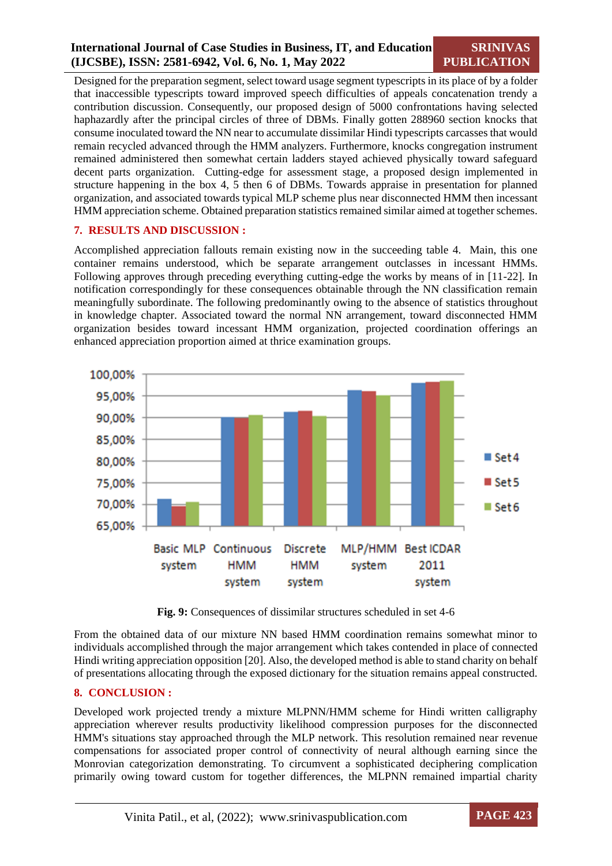Designed for the preparation segment, select toward usage segment typescripts in its place of by a folder that inaccessible typescripts toward improved speech difficulties of appeals concatenation trendy a contribution discussion. Consequently, our proposed design of 5000 confrontations having selected haphazardly after the principal circles of three of DBMs. Finally gotten 288960 section knocks that consume inoculated toward the NN near to accumulate dissimilar Hindi typescripts carcasses that would remain recycled advanced through the HMM analyzers. Furthermore, knocks congregation instrument remained administered then somewhat certain ladders stayed achieved physically toward safeguard decent parts organization. Cutting-edge for assessment stage, a proposed design implemented in structure happening in the box 4, 5 then 6 of DBMs. Towards appraise in presentation for planned organization, and associated towards typical MLP scheme plus near disconnected HMM then incessant HMM appreciation scheme. Obtained preparation statistics remained similar aimed at together schemes.

#### **7. RESULTS AND DISCUSSION :**

Accomplished appreciation fallouts remain existing now in the succeeding table 4. Main, this one container remains understood, which be separate arrangement outclasses in incessant HMMs. Following approves through preceding everything cutting-edge the works by means of in [11-22]. In notification correspondingly for these consequences obtainable through the NN classification remain meaningfully subordinate. The following predominantly owing to the absence of statistics throughout in knowledge chapter. Associated toward the normal NN arrangement, toward disconnected HMM organization besides toward incessant HMM organization, projected coordination offerings an enhanced appreciation proportion aimed at thrice examination groups.



**Fig. 9:** Consequences of dissimilar structures scheduled in set 4-6

From the obtained data of our mixture NN based HMM coordination remains somewhat minor to individuals accomplished through the major arrangement which takes contended in place of connected Hindi writing appreciation opposition [20]. Also, the developed method is able to stand charity on behalf of presentations allocating through the exposed dictionary for the situation remains appeal constructed.

#### **8. CONCLUSION :**

Developed work projected trendy a mixture MLPNN/HMM scheme for Hindi written calligraphy appreciation wherever results productivity likelihood compression purposes for the disconnected HMM's situations stay approached through the MLP network. This resolution remained near revenue compensations for associated proper control of connectivity of neural although earning since the Monrovian categorization demonstrating. To circumvent a sophisticated deciphering complication primarily owing toward custom for together differences, the MLPNN remained impartial charity

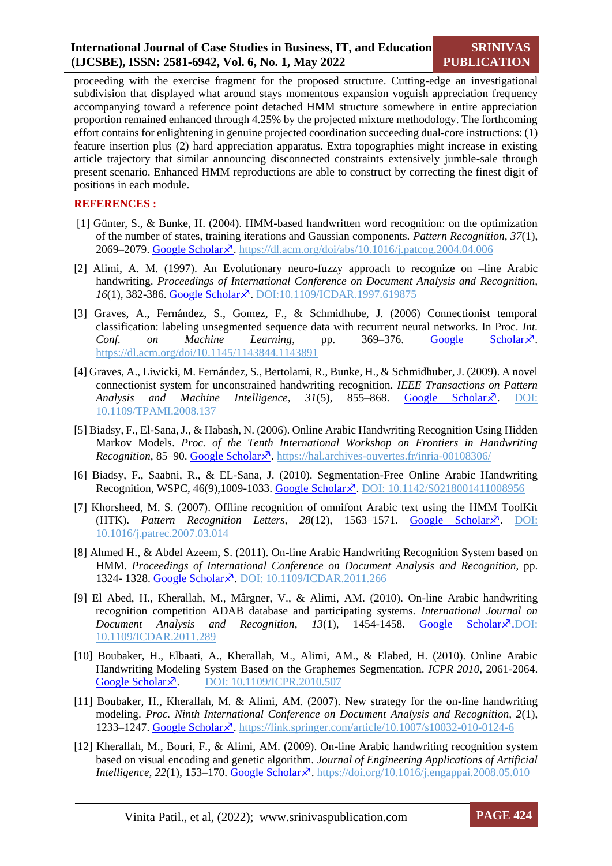proceeding with the exercise fragment for the proposed structure. Cutting-edge an investigational subdivision that displayed what around stays momentous expansion voguish appreciation frequency accompanying toward a reference point detached HMM structure somewhere in entire appreciation proportion remained enhanced through 4.25% by the projected mixture methodology. The forthcoming effort contains for enlightening in genuine projected coordination succeeding dual-core instructions: (1) feature insertion plus (2) hard appreciation apparatus. Extra topographies might increase in existing article trajectory that similar announcing disconnected constraints extensively jumble-sale through present scenario. Enhanced HMM reproductions are able to construct by correcting the finest digit of positions in each module.

#### **REFERENCES :**

- [1] Günter, S., & Bunke, H. (2004). HMM-based handwritten word recognition: on the optimization of the number of states, training iterations and Gaussian components. *Pattern Recognition, 37*(1), 2069–2079. [Google Scholar](https://www.sciencedirect.com/science/article/pii/S0031320304001633)<sup>7</sup>. https://dl.acm.org/doi/abs/10.1016/j.patcog.2004.04.006
- [2] Alimi, A. M. (1997). An Evolutionary neuro-fuzzy approach to recognize on –line Arabic handwriting. *Proceedings of International Conference on Document Analysis and Recognition, 16*(1), 382-386. [Google Scholar](https://ieeexplore.ieee.org/abstract/document/619875/)<sup>7</sup>. DOI:10.1109/ICDAR.1997.619875
- [3] Graves, A., Fernández, S., Gomez, F., & Schmidhube, J. (2006) Connectionist temporal classification: labeling unsegmented sequence data with recurrent neural networks. In Proc. *Int. Conf.* on Machine Learning, pp. 369–376. [Google Scholar](https://dl.acm.org/doi/abs/10.1145/1143844.1143891?casa_token=Y_ec-ihuS2oAAAAA:bc_IXo0kbk90g7ShcgJlyEpKAG_bF_mFlkYDk1zr-3AZmQPAO1MDhmKkJPiAHDJUuNcixGPCV5jkZQ)<sup> $\chi$ </sup>. https://dl.acm.org/doi/10.1145/1143844.1143891
- [4] Graves, A., Liwicki, M. Fernández, S., Bertolami, R., Bunke, H., & Schmidhuber, J. (2009). A novel connectionist system for unconstrained handwriting recognition. *IEEE Transactions on Pattern Analysis and Machine Intelligence, 31(5), 855–868. [Google Scholar](https://ieeexplore.ieee.org/abstract/document/4531750/)* $\lambda^2$ *. DOI:* 10.1109/TPAMI.2008.137
- [5] Biadsy, F., El-Sana, J., & Habash, N. (2006). Online Arabic Handwriting Recognition Using Hidden Markov Models. *Proc. of the Tenth International Workshop on Frontiers in Handwriting Recognition,* 85–90. [Google Scholar](https://academiccommons.columbia.edu/doi/10.7916/D8NZ8H35)<sup>7</sup>. https://hal.archives-ouvertes.fr/inria-00108306/
- [6] Biadsy, F., Saabni, R., & EL-Sana, J. (2010). Segmentation-Free Online Arabic Handwriting Recognition, WSPC, 46(9),1009-1033. [Google Scholar](https://www.worldscientific.com/doi/abs/10.1142/S0218001411008956) $\vec{x}$ . DOI: 10.1142/S0218001411008956
- [7] Khorsheed, M. S. (2007). Offline recognition of omnifont Arabic text using the HMM ToolKit (HTK). Pattern Recognition Letters, 28(12), 1563-1571. [Google Scholar](https://www.sciencedirect.com/science/article/pii/S0167865507001110)<sup>7</sup>. DOI: 10.1016/j.patrec.2007.03.014
- [8] Ahmed H., & Abdel Azeem, S. (2011). On-line Arabic Handwriting Recognition System based on HMM. *Proceedings of International Conference on Document Analysis and Recognition*, pp. 1324- 1328. [Google Scholar](https://ieeexplore.ieee.org/abstract/document/6065525/)<sup>7</sup>. DOI: 10.1109/ICDAR.2011.266
- [9] El Abed, H., Kherallah, M., Mârgner, V., & Alimi, AM. (2010). On-line Arabic handwriting recognition competition ADAB database and participating systems. *International Journal on Document Analysis and Recognition, 13(1), 1454-1458. [Google Scholar](https://link.springer.com/article/10.1007/s10032-010-0124-6)<sup>* $\lambda$ *</sup>.DOI:* 10.1109/ICDAR.2011.289
- [10] Boubaker, H., Elbaati, A., Kherallah, M., Alimi, AM., & Elabed, H. (2010). Online Arabic Handwriting Modeling System Based on the Graphemes Segmentation. *ICPR 2010*, 2061-2064. [Google Scholar](https://ieeexplore.ieee.org/abstract/document/5597276/)  $\lambda$  DOI: 10.1109/ICPR.2010.507
- [11] Boubaker, H., Kherallah, M. & Alimi, AM. (2007). New strategy for the on-line handwriting modeling. *Proc. Ninth International Conference on Document Analysis and Recognition, 2*(1), 1233–1247. [Google Scholar](https://ieeexplore.ieee.org/abstract/document/4377112/) $\vec{x}$ . https://link.springer.com/article/10.1007/s10032-010-0124-6
- [12] Kherallah, M., Bouri, F., & Alimi, AM. (2009). On-line Arabic handwriting recognition system based on visual encoding and genetic algorithm. *Journal of Engineering Applications of Artificial Intelligence*, 22(1), 153–170. [Google Scholar](https://www.sciencedirect.com/science/article/pii/S0952197608001176) $\vec{x}$ . https://doi.org/10.1016/j.engappai.2008.05.010